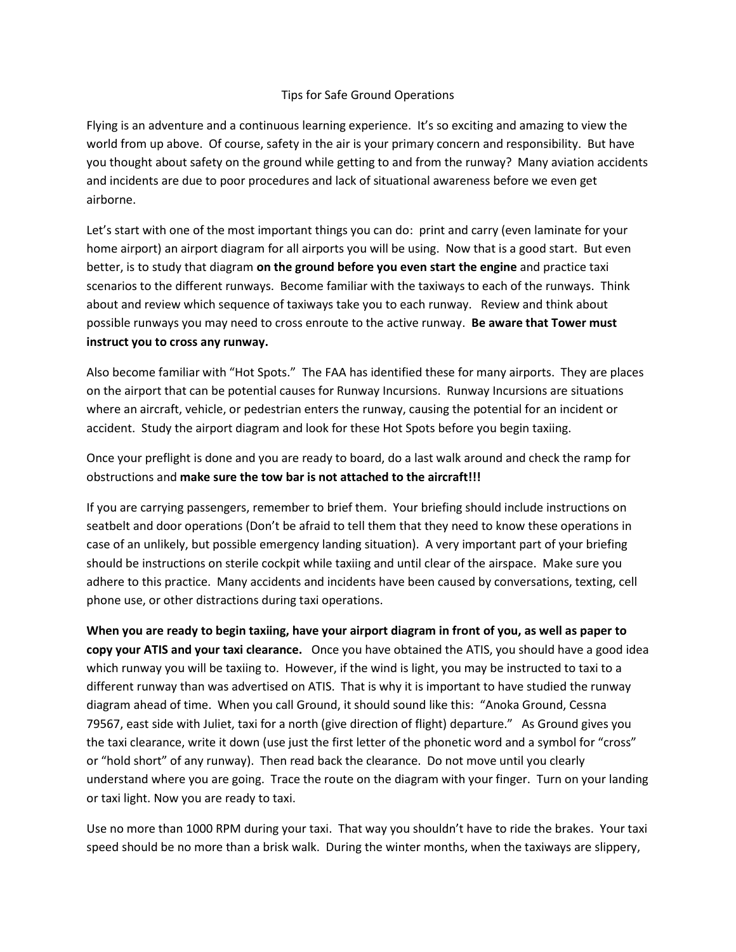## Tips for Safe Ground Operations

Flying is an adventure and a continuous learning experience. It's so exciting and amazing to view the world from up above. Of course, safety in the air is your primary concern and responsibility. But have you thought about safety on the ground while getting to and from the runway? Many aviation accidents and incidents are due to poor procedures and lack of situational awareness before we even get airborne.

Let's start with one of the most important things you can do: print and carry (even laminate for your home airport) an airport diagram for all airports you will be using. Now that is a good start. But even better, is to study that diagram **on the ground before you even start the engine** and practice taxi scenarios to the different runways. Become familiar with the taxiways to each of the runways. Think about and review which sequence of taxiways take you to each runway. Review and think about possible runways you may need to cross enroute to the active runway. **Be aware that Tower must instruct you to cross any runway.**

Also become familiar with "Hot Spots." The FAA has identified these for many airports. They are places on the airport that can be potential causes for Runway Incursions. Runway Incursions are situations where an aircraft, vehicle, or pedestrian enters the runway, causing the potential for an incident or accident. Study the airport diagram and look for these Hot Spots before you begin taxiing.

Once your preflight is done and you are ready to board, do a last walk around and check the ramp for obstructions and **make sure the tow bar is not attached to the aircraft!!!**

If you are carrying passengers, remember to brief them. Your briefing should include instructions on seatbelt and door operations (Don't be afraid to tell them that they need to know these operations in case of an unlikely, but possible emergency landing situation). A very important part of your briefing should be instructions on sterile cockpit while taxiing and until clear of the airspace. Make sure you adhere to this practice. Many accidents and incidents have been caused by conversations, texting, cell phone use, or other distractions during taxi operations.

**When you are ready to begin taxiing, have your airport diagram in front of you, as well as paper to copy your ATIS and your taxi clearance.** Once you have obtained the ATIS, you should have a good idea which runway you will be taxiing to. However, if the wind is light, you may be instructed to taxi to a different runway than was advertised on ATIS. That is why it is important to have studied the runway diagram ahead of time. When you call Ground, it should sound like this: "Anoka Ground, Cessna 79567, east side with Juliet, taxi for a north (give direction of flight) departure." As Ground gives you the taxi clearance, write it down (use just the first letter of the phonetic word and a symbol for "cross" or "hold short" of any runway). Then read back the clearance. Do not move until you clearly understand where you are going. Trace the route on the diagram with your finger. Turn on your landing or taxi light. Now you are ready to taxi.

Use no more than 1000 RPM during your taxi. That way you shouldn't have to ride the brakes. Your taxi speed should be no more than a brisk walk. During the winter months, when the taxiways are slippery,